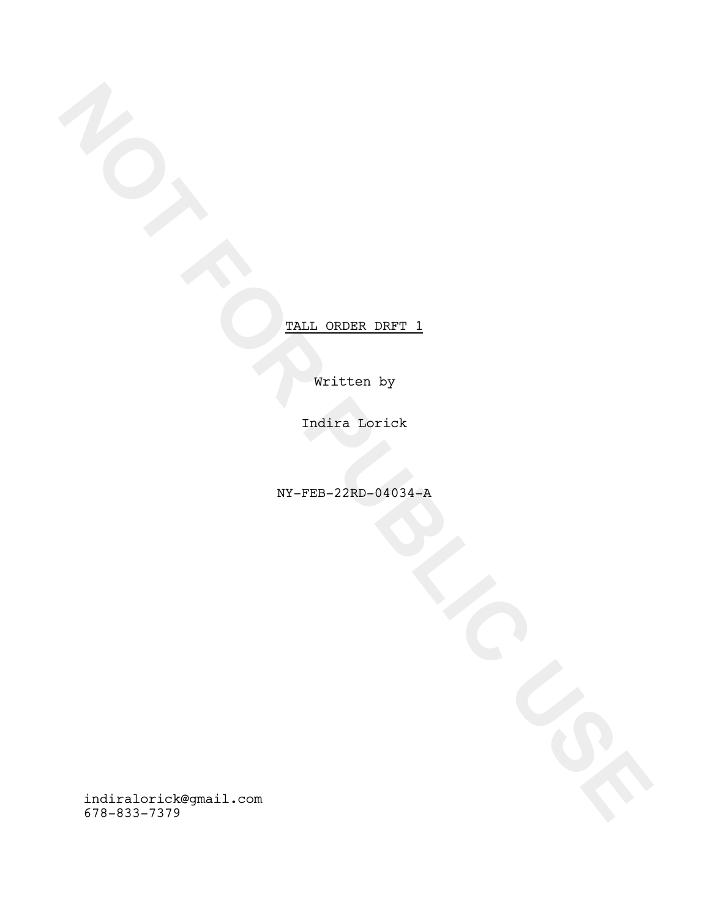Written by

Indira Lorick

NY-FEB-22RD-04034-A

**NOTE**<br>
WALL\_ORDER\_DRFT\_1<br>
WHITE REGISTER<br>
TALL ORDER\_DRFT\_1<br>
NOTE\_191-719<br>
TALL ORDER\_DRFT\_1<br>
TALL ORDER\_DRFT\_1<br>
TALL ORDER\_DRFT\_1<br>
TALL ORDER\_DRFT\_1<br>
TALL ORDER\_DRFT\_1<br>
TALL ORDER\_DRFT\_1<br>
TALL ORDER\_DRFT\_1<br>
TALL ORDER\_DR indiralorick@gmail.com 678-833-7379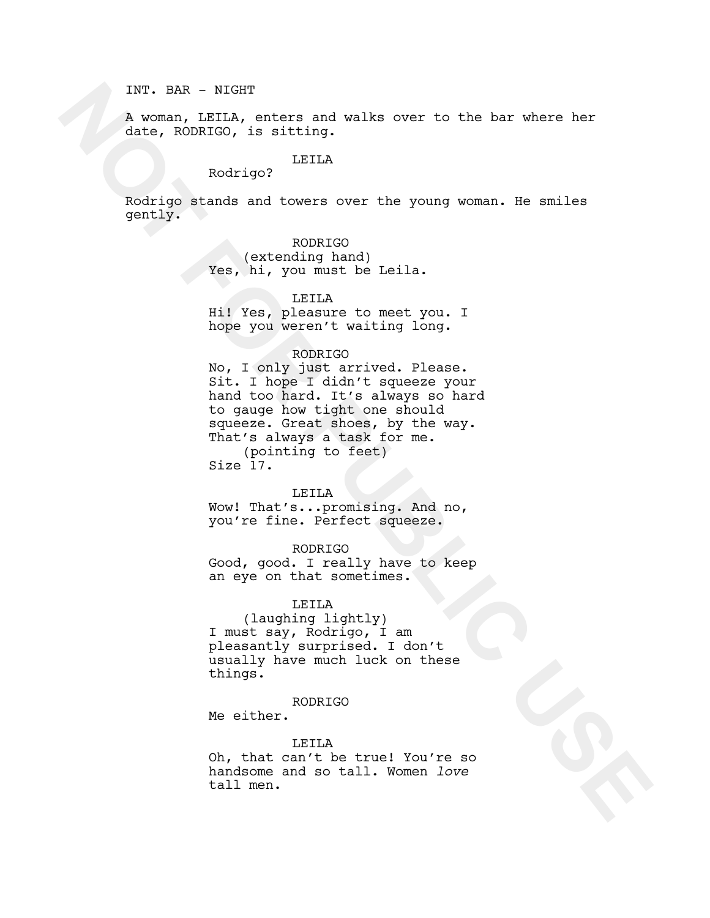INT. BAR - NIGHT

A woman, LEILA, enters and walks over to the bar where her date, RODRIGO, is sitting.

# LEILA

Rodrigo?

Rodrigo stands and towers over the young woman. He smiles gently.

## RODRIGO

(extending hand) Yes, hi, you must be Leila.

### LEILA

Hi! Yes, pleasure to meet you. I hope you weren't waiting long.

# RODRIGO

The Monday Control of the barrass of the barrass of the states and where her during Rodrigo?<br>
Rodrigo?<br>
Rodrigo?<br>
Rodrigo?<br>
Rodrigo?<br>
Notes are seen the young woman, ite smiles<br>
gently, whereast over the young woman, ite s No, I only just arrived. Please. Sit. I hope I didn't squeeze your hand too hard. It's always so hard to gauge how tight one should squeeze. Great shoes, by the way. That's always a task for me. (pointing to feet) Size 17.

LEILA

Wow! That's...promising. And no, you're fine. Perfect squeeze.

RODRIGO

Good, good. I really have to keep an eye on that sometimes.

## LEILA

(laughing lightly) I must say, Rodrigo, I am pleasantly surprised. I don't usually have much luck on these things.

# RODRIGO

Me either.

#### LEILA

Oh, that can't be true! You're so handsome and so tall. Women *love* tall men.